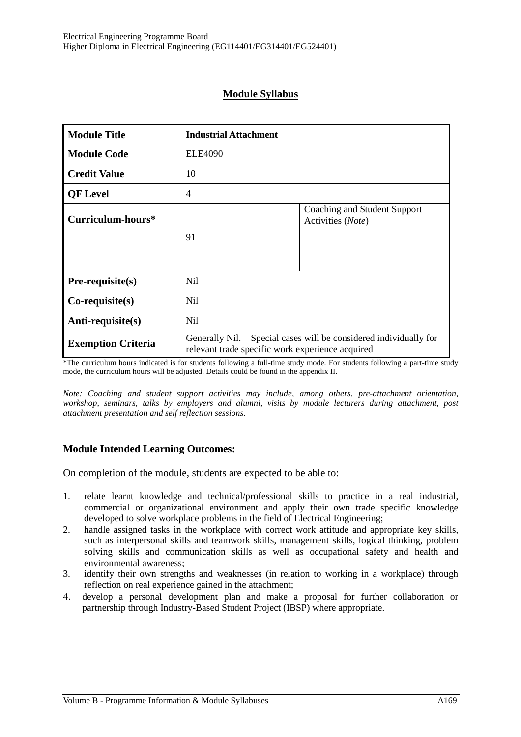## **Module Syllabus**

| <b>Module Title</b>       | <b>Industrial Attachment</b>                                                                                         |                                                   |  |
|---------------------------|----------------------------------------------------------------------------------------------------------------------|---------------------------------------------------|--|
| <b>Module Code</b>        | <b>ELE4090</b>                                                                                                       |                                                   |  |
| <b>Credit Value</b>       | 10                                                                                                                   |                                                   |  |
| <b>QF</b> Level           | $\overline{4}$                                                                                                       |                                                   |  |
| Curriculum-hours*         | 91                                                                                                                   | Coaching and Student Support<br>Activities (Note) |  |
| $Pre-requisite(s)$        | N <sub>il</sub>                                                                                                      |                                                   |  |
| $Co$ -requisite $(s)$     | N <sub>il</sub>                                                                                                      |                                                   |  |
| Anti-requisite(s)         | N <sub>il</sub>                                                                                                      |                                                   |  |
| <b>Exemption Criteria</b> | Generally Nil. Special cases will be considered individually for<br>relevant trade specific work experience acquired |                                                   |  |

\*The curriculum hours indicated is for students following a full-time study mode. For students following a part-time study mode, the curriculum hours will be adjusted. Details could be found in the appendix II.

*Note: Coaching and student support activities may include, among others, pre-attachment orientation, workshop, seminars, talks by employers and alumni, visits by module lecturers during attachment, post attachment presentation and self reflection sessions.* 

#### **Module Intended Learning Outcomes:**

On completion of the module, students are expected to be able to:

- 1. relate learnt knowledge and technical/professional skills to practice in a real industrial, commercial or organizational environment and apply their own trade specific knowledge developed to solve workplace problems in the field of Electrical Engineering;
- 2. handle assigned tasks in the workplace with correct work attitude and appropriate key skills, such as interpersonal skills and teamwork skills, management skills, logical thinking, problem solving skills and communication skills as well as occupational safety and health and environmental awareness;
- 3. identify their own strengths and weaknesses (in relation to working in a workplace) through reflection on real experience gained in the attachment;
- 4. develop a personal development plan and make a proposal for further collaboration or partnership through Industry-Based Student Project (IBSP) where appropriate.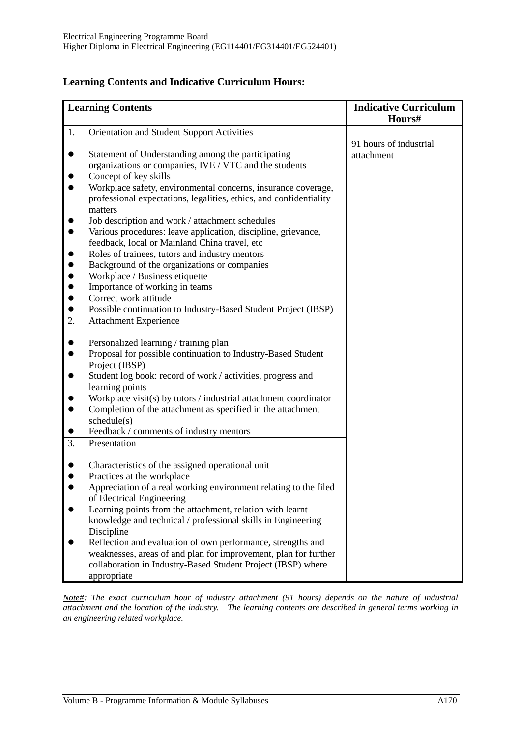### **Learning Contents and Indicative Curriculum Hours:**

| <b>Indicative Curriculum</b>                                                                                                                                                                                                                                                                                                                                                                                                                                                                                                                                                                                                                                                                                                                                                                                                                                                                                                                                                                                                                                                                                                                                                                                                                                                                                                                                                                                                                                                                                                                                                                                                                                                                                                                                                                                                       |
|------------------------------------------------------------------------------------------------------------------------------------------------------------------------------------------------------------------------------------------------------------------------------------------------------------------------------------------------------------------------------------------------------------------------------------------------------------------------------------------------------------------------------------------------------------------------------------------------------------------------------------------------------------------------------------------------------------------------------------------------------------------------------------------------------------------------------------------------------------------------------------------------------------------------------------------------------------------------------------------------------------------------------------------------------------------------------------------------------------------------------------------------------------------------------------------------------------------------------------------------------------------------------------------------------------------------------------------------------------------------------------------------------------------------------------------------------------------------------------------------------------------------------------------------------------------------------------------------------------------------------------------------------------------------------------------------------------------------------------------------------------------------------------------------------------------------------------|
| Hours#                                                                                                                                                                                                                                                                                                                                                                                                                                                                                                                                                                                                                                                                                                                                                                                                                                                                                                                                                                                                                                                                                                                                                                                                                                                                                                                                                                                                                                                                                                                                                                                                                                                                                                                                                                                                                             |
|                                                                                                                                                                                                                                                                                                                                                                                                                                                                                                                                                                                                                                                                                                                                                                                                                                                                                                                                                                                                                                                                                                                                                                                                                                                                                                                                                                                                                                                                                                                                                                                                                                                                                                                                                                                                                                    |
| 91 hours of industrial                                                                                                                                                                                                                                                                                                                                                                                                                                                                                                                                                                                                                                                                                                                                                                                                                                                                                                                                                                                                                                                                                                                                                                                                                                                                                                                                                                                                                                                                                                                                                                                                                                                                                                                                                                                                             |
| attachment                                                                                                                                                                                                                                                                                                                                                                                                                                                                                                                                                                                                                                                                                                                                                                                                                                                                                                                                                                                                                                                                                                                                                                                                                                                                                                                                                                                                                                                                                                                                                                                                                                                                                                                                                                                                                         |
|                                                                                                                                                                                                                                                                                                                                                                                                                                                                                                                                                                                                                                                                                                                                                                                                                                                                                                                                                                                                                                                                                                                                                                                                                                                                                                                                                                                                                                                                                                                                                                                                                                                                                                                                                                                                                                    |
|                                                                                                                                                                                                                                                                                                                                                                                                                                                                                                                                                                                                                                                                                                                                                                                                                                                                                                                                                                                                                                                                                                                                                                                                                                                                                                                                                                                                                                                                                                                                                                                                                                                                                                                                                                                                                                    |
|                                                                                                                                                                                                                                                                                                                                                                                                                                                                                                                                                                                                                                                                                                                                                                                                                                                                                                                                                                                                                                                                                                                                                                                                                                                                                                                                                                                                                                                                                                                                                                                                                                                                                                                                                                                                                                    |
|                                                                                                                                                                                                                                                                                                                                                                                                                                                                                                                                                                                                                                                                                                                                                                                                                                                                                                                                                                                                                                                                                                                                                                                                                                                                                                                                                                                                                                                                                                                                                                                                                                                                                                                                                                                                                                    |
|                                                                                                                                                                                                                                                                                                                                                                                                                                                                                                                                                                                                                                                                                                                                                                                                                                                                                                                                                                                                                                                                                                                                                                                                                                                                                                                                                                                                                                                                                                                                                                                                                                                                                                                                                                                                                                    |
|                                                                                                                                                                                                                                                                                                                                                                                                                                                                                                                                                                                                                                                                                                                                                                                                                                                                                                                                                                                                                                                                                                                                                                                                                                                                                                                                                                                                                                                                                                                                                                                                                                                                                                                                                                                                                                    |
|                                                                                                                                                                                                                                                                                                                                                                                                                                                                                                                                                                                                                                                                                                                                                                                                                                                                                                                                                                                                                                                                                                                                                                                                                                                                                                                                                                                                                                                                                                                                                                                                                                                                                                                                                                                                                                    |
|                                                                                                                                                                                                                                                                                                                                                                                                                                                                                                                                                                                                                                                                                                                                                                                                                                                                                                                                                                                                                                                                                                                                                                                                                                                                                                                                                                                                                                                                                                                                                                                                                                                                                                                                                                                                                                    |
|                                                                                                                                                                                                                                                                                                                                                                                                                                                                                                                                                                                                                                                                                                                                                                                                                                                                                                                                                                                                                                                                                                                                                                                                                                                                                                                                                                                                                                                                                                                                                                                                                                                                                                                                                                                                                                    |
|                                                                                                                                                                                                                                                                                                                                                                                                                                                                                                                                                                                                                                                                                                                                                                                                                                                                                                                                                                                                                                                                                                                                                                                                                                                                                                                                                                                                                                                                                                                                                                                                                                                                                                                                                                                                                                    |
|                                                                                                                                                                                                                                                                                                                                                                                                                                                                                                                                                                                                                                                                                                                                                                                                                                                                                                                                                                                                                                                                                                                                                                                                                                                                                                                                                                                                                                                                                                                                                                                                                                                                                                                                                                                                                                    |
|                                                                                                                                                                                                                                                                                                                                                                                                                                                                                                                                                                                                                                                                                                                                                                                                                                                                                                                                                                                                                                                                                                                                                                                                                                                                                                                                                                                                                                                                                                                                                                                                                                                                                                                                                                                                                                    |
|                                                                                                                                                                                                                                                                                                                                                                                                                                                                                                                                                                                                                                                                                                                                                                                                                                                                                                                                                                                                                                                                                                                                                                                                                                                                                                                                                                                                                                                                                                                                                                                                                                                                                                                                                                                                                                    |
|                                                                                                                                                                                                                                                                                                                                                                                                                                                                                                                                                                                                                                                                                                                                                                                                                                                                                                                                                                                                                                                                                                                                                                                                                                                                                                                                                                                                                                                                                                                                                                                                                                                                                                                                                                                                                                    |
|                                                                                                                                                                                                                                                                                                                                                                                                                                                                                                                                                                                                                                                                                                                                                                                                                                                                                                                                                                                                                                                                                                                                                                                                                                                                                                                                                                                                                                                                                                                                                                                                                                                                                                                                                                                                                                    |
|                                                                                                                                                                                                                                                                                                                                                                                                                                                                                                                                                                                                                                                                                                                                                                                                                                                                                                                                                                                                                                                                                                                                                                                                                                                                                                                                                                                                                                                                                                                                                                                                                                                                                                                                                                                                                                    |
|                                                                                                                                                                                                                                                                                                                                                                                                                                                                                                                                                                                                                                                                                                                                                                                                                                                                                                                                                                                                                                                                                                                                                                                                                                                                                                                                                                                                                                                                                                                                                                                                                                                                                                                                                                                                                                    |
|                                                                                                                                                                                                                                                                                                                                                                                                                                                                                                                                                                                                                                                                                                                                                                                                                                                                                                                                                                                                                                                                                                                                                                                                                                                                                                                                                                                                                                                                                                                                                                                                                                                                                                                                                                                                                                    |
|                                                                                                                                                                                                                                                                                                                                                                                                                                                                                                                                                                                                                                                                                                                                                                                                                                                                                                                                                                                                                                                                                                                                                                                                                                                                                                                                                                                                                                                                                                                                                                                                                                                                                                                                                                                                                                    |
|                                                                                                                                                                                                                                                                                                                                                                                                                                                                                                                                                                                                                                                                                                                                                                                                                                                                                                                                                                                                                                                                                                                                                                                                                                                                                                                                                                                                                                                                                                                                                                                                                                                                                                                                                                                                                                    |
|                                                                                                                                                                                                                                                                                                                                                                                                                                                                                                                                                                                                                                                                                                                                                                                                                                                                                                                                                                                                                                                                                                                                                                                                                                                                                                                                                                                                                                                                                                                                                                                                                                                                                                                                                                                                                                    |
|                                                                                                                                                                                                                                                                                                                                                                                                                                                                                                                                                                                                                                                                                                                                                                                                                                                                                                                                                                                                                                                                                                                                                                                                                                                                                                                                                                                                                                                                                                                                                                                                                                                                                                                                                                                                                                    |
|                                                                                                                                                                                                                                                                                                                                                                                                                                                                                                                                                                                                                                                                                                                                                                                                                                                                                                                                                                                                                                                                                                                                                                                                                                                                                                                                                                                                                                                                                                                                                                                                                                                                                                                                                                                                                                    |
|                                                                                                                                                                                                                                                                                                                                                                                                                                                                                                                                                                                                                                                                                                                                                                                                                                                                                                                                                                                                                                                                                                                                                                                                                                                                                                                                                                                                                                                                                                                                                                                                                                                                                                                                                                                                                                    |
|                                                                                                                                                                                                                                                                                                                                                                                                                                                                                                                                                                                                                                                                                                                                                                                                                                                                                                                                                                                                                                                                                                                                                                                                                                                                                                                                                                                                                                                                                                                                                                                                                                                                                                                                                                                                                                    |
|                                                                                                                                                                                                                                                                                                                                                                                                                                                                                                                                                                                                                                                                                                                                                                                                                                                                                                                                                                                                                                                                                                                                                                                                                                                                                                                                                                                                                                                                                                                                                                                                                                                                                                                                                                                                                                    |
|                                                                                                                                                                                                                                                                                                                                                                                                                                                                                                                                                                                                                                                                                                                                                                                                                                                                                                                                                                                                                                                                                                                                                                                                                                                                                                                                                                                                                                                                                                                                                                                                                                                                                                                                                                                                                                    |
|                                                                                                                                                                                                                                                                                                                                                                                                                                                                                                                                                                                                                                                                                                                                                                                                                                                                                                                                                                                                                                                                                                                                                                                                                                                                                                                                                                                                                                                                                                                                                                                                                                                                                                                                                                                                                                    |
|                                                                                                                                                                                                                                                                                                                                                                                                                                                                                                                                                                                                                                                                                                                                                                                                                                                                                                                                                                                                                                                                                                                                                                                                                                                                                                                                                                                                                                                                                                                                                                                                                                                                                                                                                                                                                                    |
|                                                                                                                                                                                                                                                                                                                                                                                                                                                                                                                                                                                                                                                                                                                                                                                                                                                                                                                                                                                                                                                                                                                                                                                                                                                                                                                                                                                                                                                                                                                                                                                                                                                                                                                                                                                                                                    |
|                                                                                                                                                                                                                                                                                                                                                                                                                                                                                                                                                                                                                                                                                                                                                                                                                                                                                                                                                                                                                                                                                                                                                                                                                                                                                                                                                                                                                                                                                                                                                                                                                                                                                                                                                                                                                                    |
|                                                                                                                                                                                                                                                                                                                                                                                                                                                                                                                                                                                                                                                                                                                                                                                                                                                                                                                                                                                                                                                                                                                                                                                                                                                                                                                                                                                                                                                                                                                                                                                                                                                                                                                                                                                                                                    |
|                                                                                                                                                                                                                                                                                                                                                                                                                                                                                                                                                                                                                                                                                                                                                                                                                                                                                                                                                                                                                                                                                                                                                                                                                                                                                                                                                                                                                                                                                                                                                                                                                                                                                                                                                                                                                                    |
|                                                                                                                                                                                                                                                                                                                                                                                                                                                                                                                                                                                                                                                                                                                                                                                                                                                                                                                                                                                                                                                                                                                                                                                                                                                                                                                                                                                                                                                                                                                                                                                                                                                                                                                                                                                                                                    |
|                                                                                                                                                                                                                                                                                                                                                                                                                                                                                                                                                                                                                                                                                                                                                                                                                                                                                                                                                                                                                                                                                                                                                                                                                                                                                                                                                                                                                                                                                                                                                                                                                                                                                                                                                                                                                                    |
|                                                                                                                                                                                                                                                                                                                                                                                                                                                                                                                                                                                                                                                                                                                                                                                                                                                                                                                                                                                                                                                                                                                                                                                                                                                                                                                                                                                                                                                                                                                                                                                                                                                                                                                                                                                                                                    |
|                                                                                                                                                                                                                                                                                                                                                                                                                                                                                                                                                                                                                                                                                                                                                                                                                                                                                                                                                                                                                                                                                                                                                                                                                                                                                                                                                                                                                                                                                                                                                                                                                                                                                                                                                                                                                                    |
| <b>Learning Contents</b><br>Orientation and Student Support Activities<br>Statement of Understanding among the participating<br>organizations or companies, IVE / VTC and the students<br>Concept of key skills<br>Workplace safety, environmental concerns, insurance coverage,<br>professional expectations, legalities, ethics, and confidentiality<br>matters<br>Job description and work / attachment schedules<br>Various procedures: leave application, discipline, grievance,<br>feedback, local or Mainland China travel, etc<br>Roles of trainees, tutors and industry mentors<br>Background of the organizations or companies<br>Workplace / Business etiquette<br>Importance of working in teams<br>Correct work attitude<br>Possible continuation to Industry-Based Student Project (IBSP)<br><b>Attachment Experience</b><br>Personalized learning / training plan<br>Proposal for possible continuation to Industry-Based Student<br>Project (IBSP)<br>Student log book: record of work / activities, progress and<br>learning points<br>Workplace visit(s) by tutors $\frac{1}{1}$ industrial attachment coordinator<br>Completion of the attachment as specified in the attachment<br>$s$ chedule $(s)$<br>Feedback / comments of industry mentors<br>Presentation<br>Characteristics of the assigned operational unit<br>Practices at the workplace<br>Appreciation of a real working environment relating to the filed<br>of Electrical Engineering<br>Learning points from the attachment, relation with learnt<br>knowledge and technical / professional skills in Engineering<br>Discipline<br>Reflection and evaluation of own performance, strengths and<br>weaknesses, areas of and plan for improvement, plan for further<br>collaboration in Industry-Based Student Project (IBSP) where<br>appropriate |

*Note#: The exact curriculum hour of industry attachment (91 hours) depends on the nature of industrial attachment and the location of the industry. The learning contents are described in general terms working in an engineering related workplace.*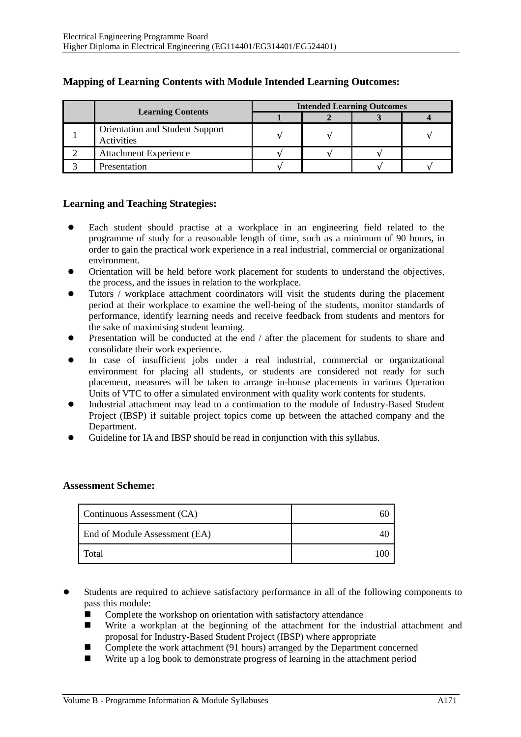|                                               | <b>Intended Learning Outcomes</b> |  |  |  |
|-----------------------------------------------|-----------------------------------|--|--|--|
| <b>Learning Contents</b>                      |                                   |  |  |  |
| Orientation and Student Support<br>Activities |                                   |  |  |  |
| <b>Attachment Experience</b>                  |                                   |  |  |  |
| Presentation                                  |                                   |  |  |  |

# **Mapping of Learning Contents with Module Intended Learning Outcomes:**

### **Learning and Teaching Strategies:**

- Each student should practise at a workplace in an engineering field related to the programme of study for a reasonable length of time, such as a minimum of 90 hours, in order to gain the practical work experience in a real industrial, commercial or organizational environment.
- Orientation will be held before work placement for students to understand the objectives, the process, and the issues in relation to the workplace.
- Tutors / workplace attachment coordinators will visit the students during the placement period at their workplace to examine the well-being of the students, monitor standards of performance, identify learning needs and receive feedback from students and mentors for the sake of maximising student learning.
- Presentation will be conducted at the end / after the placement for students to share and consolidate their work experience.
- In case of insufficient jobs under a real industrial, commercial or organizational environment for placing all students, or students are considered not ready for such placement, measures will be taken to arrange in-house placements in various Operation Units of VTC to offer a simulated environment with quality work contents for students.
- Industrial attachment may lead to a continuation to the module of Industry-Based Student Project (IBSP) if suitable project topics come up between the attached company and the Department.
- Guideline for IA and IBSP should be read in conjunction with this syllabus.

### **Assessment Scheme:**

| Continuous Assessment (CA)    |  |
|-------------------------------|--|
| End of Module Assessment (EA) |  |
| Total                         |  |

- Students are required to achieve satisfactory performance in all of the following components to pass this module:
	- -Complete the workshop on orientation with satisfactory attendance
	- - Write a workplan at the beginning of the attachment for the industrial attachment and proposal for Industry-Based Student Project (IBSP) where appropriate
	- -Complete the work attachment (91 hours) arranged by the Department concerned
	- -Write up a log book to demonstrate progress of learning in the attachment period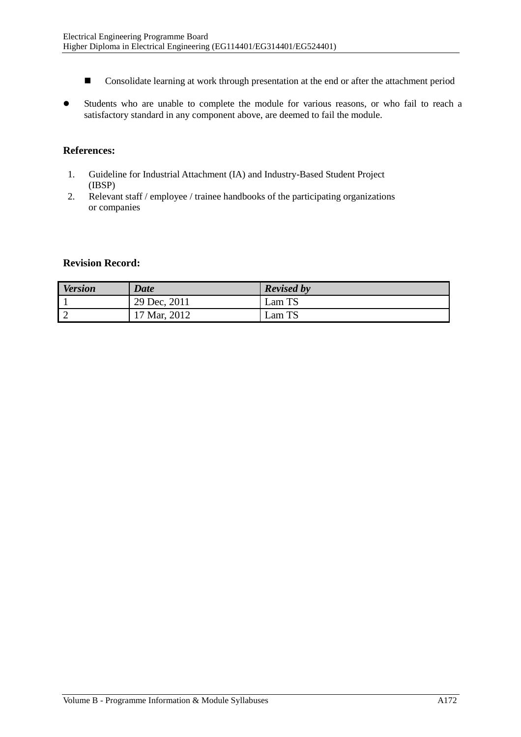- -Consolidate learning at work through presentation at the end or after the attachment period
- Students who are unable to complete the module for various reasons, or who fail to reach a satisfactory standard in any component above, are deemed to fail the module.

## **References:**

- 1. Guideline for Industrial Attachment (IA) and Industry-Based Student Project (IBSP)
- 2. Relevant staff / employee / trainee handbooks of the participating organizations or companies

### **Revision Record:**

| <b>Version</b> | <b>Date</b>  | <b>Revised by</b>         |
|----------------|--------------|---------------------------|
|                | 29 Dec, 2011 | Lam TS                    |
|                | 17 Mar, 2012 | $\mathsf{Lam}\ \text{TS}$ |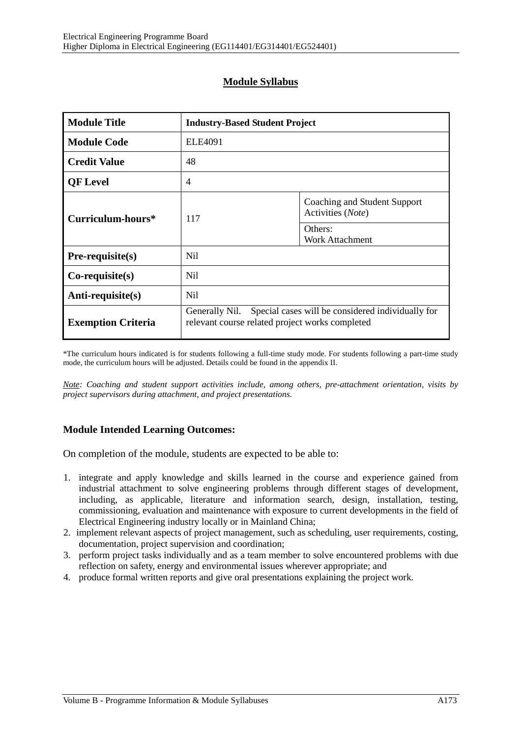# **Module Syllabus**

| <b>Module Title</b>       | <b>Industry-Based Student Project</b>                                                                                  |                                                   |  |
|---------------------------|------------------------------------------------------------------------------------------------------------------------|---------------------------------------------------|--|
| <b>Module Code</b>        | <b>ELE4091</b>                                                                                                         |                                                   |  |
| <b>Credit Value</b>       | 48                                                                                                                     |                                                   |  |
| <b>QF</b> Level           | $\overline{4}$                                                                                                         |                                                   |  |
| Curriculum-hours*         | 117                                                                                                                    | Coaching and Student Support<br>Activities (Note) |  |
|                           |                                                                                                                        | Others:<br>Work Attachment                        |  |
| Pre-requisite(s)          | N <sub>il</sub>                                                                                                        |                                                   |  |
| $Co$ -requisite $(s)$     | N <sub>il</sub>                                                                                                        |                                                   |  |
| Anti-requisite(s)         | N <sub>il</sub>                                                                                                        |                                                   |  |
| <b>Exemption Criteria</b> | Special cases will be considered individually for<br>Generally Nil.<br>relevant course related project works completed |                                                   |  |

\*The curriculum hours indicated is for students following a full-time study mode. For students following a part-time study mode, the curriculum hours will be adjusted. Details could be found in the appendix II.

*Note: Coaching and student support activities include, among others, pre-attachment orientation, visits by project supervisors during attachment, and project presentations.* 

## **Module Intended Learning Outcomes:**

On completion of the module, students are expected to be able to:

- 1. integrate and apply knowledge and skills learned in the course and experience gained from industrial attachment to solve engineering problems through different stages of development, including, as applicable, literature and information search, design, installation, testing, commissioning, evaluation and maintenance with exposure to current developments in the field of Electrical Engineering industry locally or in Mainland China;
- 2. implement relevant aspects of project management, such as scheduling, user requirements, costing, documentation, project supervision and coordination;
- 3. perform project tasks individually and as a team member to solve encountered problems with due reflection on safety, energy and environmental issues wherever appropriate; and
- 4. produce formal written reports and give oral presentations explaining the project work.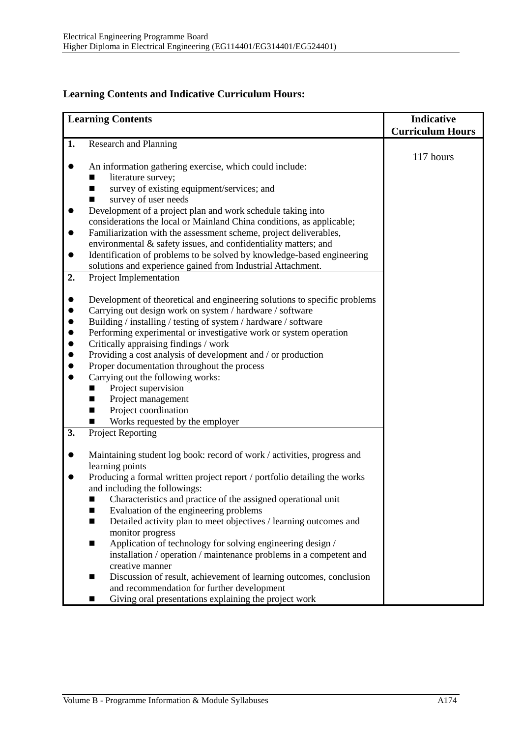# **Learning Contents and Indicative Curriculum Hours:**

|           | <b>Learning Contents</b>                                                  | Indicative<br><b>Curriculum Hours</b> |
|-----------|---------------------------------------------------------------------------|---------------------------------------|
| 1.        | <b>Research and Planning</b>                                              |                                       |
|           |                                                                           | 117 hours                             |
|           | An information gathering exercise, which could include:                   |                                       |
|           | literature survey;                                                        |                                       |
|           | survey of existing equipment/services; and<br>■                           |                                       |
|           | survey of user needs                                                      |                                       |
|           | Development of a project plan and work schedule taking into               |                                       |
|           | considerations the local or Mainland China conditions, as applicable;     |                                       |
| $\bullet$ | Familiarization with the assessment scheme, project deliverables,         |                                       |
|           | environmental & safety issues, and confidentiality matters; and           |                                       |
| $\bullet$ | Identification of problems to be solved by knowledge-based engineering    |                                       |
|           | solutions and experience gained from Industrial Attachment.               |                                       |
| 2.        | Project Implementation                                                    |                                       |
|           | Development of theoretical and engineering solutions to specific problems |                                       |
|           | Carrying out design work on system / hardware / software                  |                                       |
| $\bullet$ | Building / installing / testing of system / hardware / software           |                                       |
| $\bullet$ | Performing experimental or investigative work or system operation         |                                       |
| $\bullet$ | Critically appraising findings / work                                     |                                       |
|           | Providing a cost analysis of development and / or production              |                                       |
|           | Proper documentation throughout the process                               |                                       |
| $\bullet$ | Carrying out the following works:                                         |                                       |
|           | Project supervision<br>ш                                                  |                                       |
|           | Project management<br>■                                                   |                                       |
|           | Project coordination<br>■                                                 |                                       |
|           | Works requested by the employer                                           |                                       |
| 3.        | <b>Project Reporting</b>                                                  |                                       |
|           | Maintaining student log book: record of work / activities, progress and   |                                       |
|           | learning points                                                           |                                       |
|           | Producing a formal written project report / portfolio detailing the works |                                       |
|           | and including the followings:                                             |                                       |
|           | Characteristics and practice of the assigned operational unit             |                                       |
|           | Evaluation of the engineering problems<br>■                               |                                       |
|           | Detailed activity plan to meet objectives / learning outcomes and<br>■    |                                       |
|           | monitor progress                                                          |                                       |
|           | Application of technology for solving engineering design /<br>П           |                                       |
|           | installation / operation / maintenance problems in a competent and        |                                       |
|           | creative manner                                                           |                                       |
|           | Discussion of result, achievement of learning outcomes, conclusion<br>▬   |                                       |
|           | and recommendation for further development                                |                                       |
|           | Giving oral presentations explaining the project work<br>■                |                                       |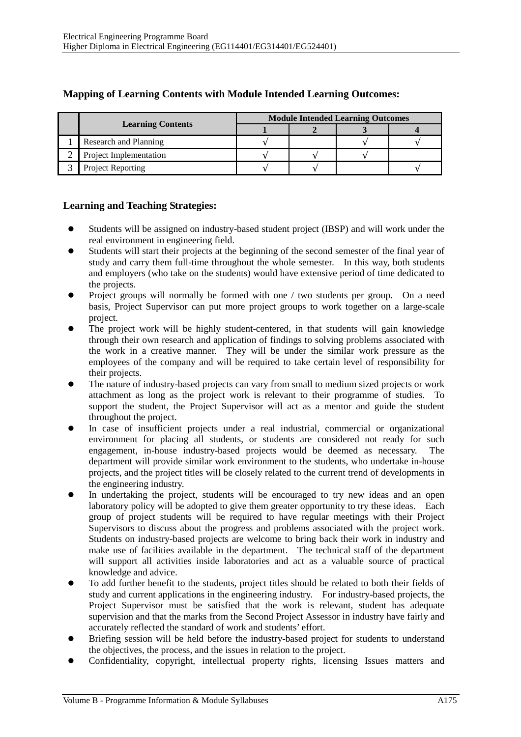|                          | <b>Module Intended Learning Outcomes</b> |  |  |  |
|--------------------------|------------------------------------------|--|--|--|
| <b>Learning Contents</b> |                                          |  |  |  |
| Research and Planning    |                                          |  |  |  |
| Project Implementation   |                                          |  |  |  |
| <b>Project Reporting</b> |                                          |  |  |  |

## **Mapping of Learning Contents with Module Intended Learning Outcomes:**

### **Learning and Teaching Strategies:**

- Students will be assigned on industry-based student project (IBSP) and will work under the real environment in engineering field.
- Students will start their projects at the beginning of the second semester of the final year of study and carry them full-time throughout the whole semester. In this way, both students and employers (who take on the students) would have extensive period of time dedicated to the projects.
- Project groups will normally be formed with one / two students per group. On a need basis, Project Supervisor can put more project groups to work together on a large-scale project.
- The project work will be highly student-centered, in that students will gain knowledge through their own research and application of findings to solving problems associated with the work in a creative manner. They will be under the similar work pressure as the employees of the company and will be required to take certain level of responsibility for their projects.
- The nature of industry-based projects can vary from small to medium sized projects or work attachment as long as the project work is relevant to their programme of studies. To support the student, the Project Supervisor will act as a mentor and guide the student throughout the project.
- In case of insufficient projects under a real industrial, commercial or organizational environment for placing all students, or students are considered not ready for such engagement, in-house industry-based projects would be deemed as necessary. The department will provide similar work environment to the students, who undertake in-house projects, and the project titles will be closely related to the current trend of developments in the engineering industry.
- In undertaking the project, students will be encouraged to try new ideas and an open laboratory policy will be adopted to give them greater opportunity to try these ideas. Each group of project students will be required to have regular meetings with their Project Supervisors to discuss about the progress and problems associated with the project work. Students on industry-based projects are welcome to bring back their work in industry and make use of facilities available in the department. The technical staff of the department will support all activities inside laboratories and act as a valuable source of practical knowledge and advice.
- To add further benefit to the students, project titles should be related to both their fields of study and current applications in the engineering industry. For industry-based projects, the Project Supervisor must be satisfied that the work is relevant, student has adequate supervision and that the marks from the Second Project Assessor in industry have fairly and accurately reflected the standard of work and students' effort.
- Briefing session will be held before the industry-based project for students to understand the objectives, the process, and the issues in relation to the project.
- Confidentiality, copyright, intellectual property rights, licensing Issues matters and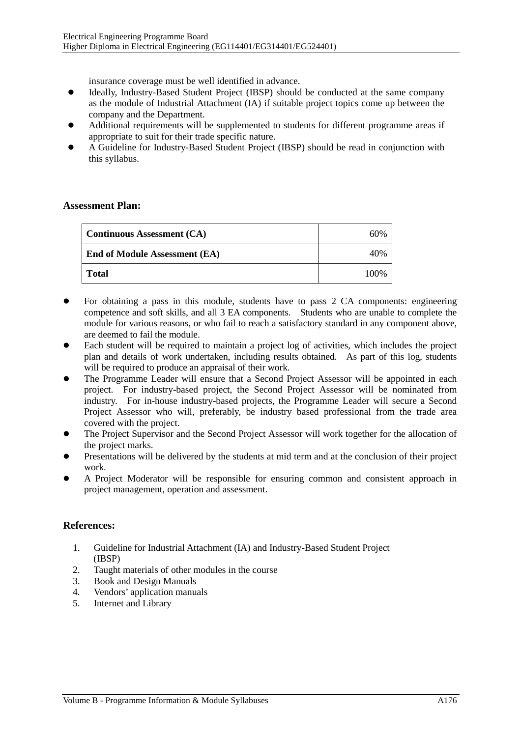insurance coverage must be well identified in advance.

- Ideally, Industry-Based Student Project (IBSP) should be conducted at the same company as the module of Industrial Attachment (IA) if suitable project topics come up between the company and the Department.
- Additional requirements will be supplemented to students for different programme areas if appropriate to suit for their trade specific nature.
- A Guideline for Industry-Based Student Project (IBSP) should be read in conjunction with this syllabus.

#### **Assessment Plan:**

| <b>Continuous Assessment (CA)</b>    | 60%  |
|--------------------------------------|------|
| <b>End of Module Assessment (EA)</b> | 40%  |
| <b>Total</b>                         | 100% |

- For obtaining a pass in this module, students have to pass 2 CA components: engineering competence and soft skills, and all 3 EA components. Students who are unable to complete the module for various reasons, or who fail to reach a satisfactory standard in any component above, are deemed to fail the module.
- Each student will be required to maintain a project log of activities, which includes the project plan and details of work undertaken, including results obtained. As part of this log, students will be required to produce an appraisal of their work.
- The Programme Leader will ensure that a Second Project Assessor will be appointed in each project. For industry-based project, the Second Project Assessor will be nominated from industry. For in-house industry-based projects, the Programme Leader will secure a Second Project Assessor who will, preferably, be industry based professional from the trade area covered with the project.
- The Project Supervisor and the Second Project Assessor will work together for the allocation of the project marks.
- Presentations will be delivered by the students at mid term and at the conclusion of their project work.
- A Project Moderator will be responsible for ensuring common and consistent approach in project management, operation and assessment.

#### **References:**

- 1. Guideline for Industrial Attachment (IA) and Industry-Based Student Project (IBSP)
- 2. Taught materials of other modules in the course<br>3. Book and Design Manuals
- 3. Book and Design Manuals
- 4. Vendors' application manuals
- 5. Internet and Library